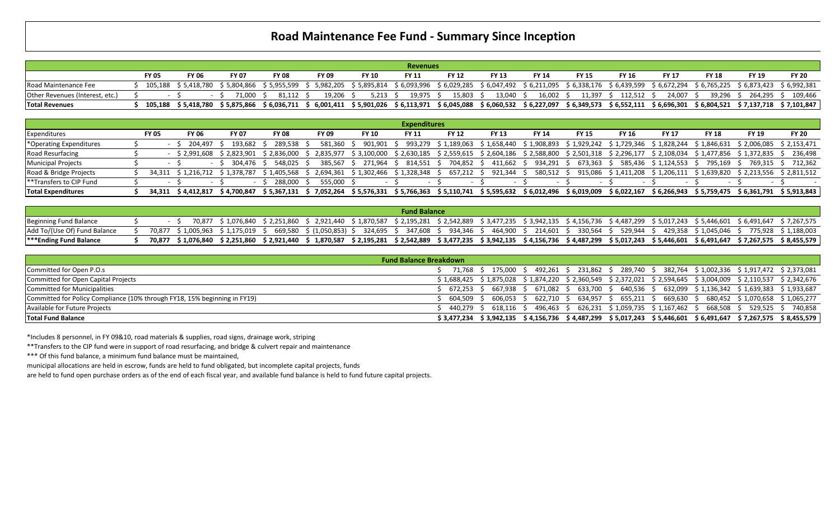## **Road Maintenance Fee Fund - Summary Since Inception**

|                                 |              |       |              |                                               |                                                                                                                                                                                             |                 | <b>Revenues</b> |              |              |              |              |                      |              |           |              |                                                                                                                                                |
|---------------------------------|--------------|-------|--------------|-----------------------------------------------|---------------------------------------------------------------------------------------------------------------------------------------------------------------------------------------------|-----------------|-----------------|--------------|--------------|--------------|--------------|----------------------|--------------|-----------|--------------|------------------------------------------------------------------------------------------------------------------------------------------------|
|                                 | <b>FY 05</b> | FY 06 | <b>FY 07</b> | <b>FY 08</b>                                  | FY 09                                                                                                                                                                                       | <b>FY 10</b>    | <b>FY 11</b>    | <b>FY 12</b> | <b>FY 13</b> | <b>FY 14</b> | <b>FY 15</b> | <b>FY 16</b>         | <b>FY 17</b> | FY 18     | <b>FY 19</b> | <b>FY 20</b>                                                                                                                                   |
| Road Maintenance Fee            |              |       |              |                                               | 105,188 \$5,418,780 \$5,804,866 \$5,955,599 \$5,982,205 \$5,895,814 \$6,093,996 \$6,029,285 \$6,047,492 \$6,211,095 \$6,338,176 \$6,439,599 \$6,672,294 \$6,765,225 \$6,873,423 \$6,992,381 |                 |                 |              |              |              |              |                      |              |           |              |                                                                                                                                                |
| Other Revenues (Interest, etc.) |              |       | 71.000       | 81.112 \$                                     | 19.206 \$                                                                                                                                                                                   | $5.213 \quad S$ | 19.975 \$       | 15.803 \$    | 13,040 \$    | 16,002 \$    |              | 11,397 \$ 112,512 \$ | 24.007 \$    | 39.296 \$ | 264.295 \$   | 109.466                                                                                                                                        |
| <b>Total Revenues</b>           |              |       |              | 105,188 \$5,418,780 \$5,875,866 \$6,036,711 ' |                                                                                                                                                                                             |                 |                 |              |              |              |              |                      |              |           |              | ;6,001,411 \$5,901,026 \$6,113,971 \$6,045,088 \$6,060,532 \$6,227,097 \$6,349,573 \$6,552,111 \$6,696,301 \$6,804,521 \$7,137,718 \$7,101,847 |

|                                     |              |                    |                         |                                     |              |                                      | <b>Expenditures</b> |              |                          |                                                                                                                                     |              |              |                         |              |              |                                                                  |
|-------------------------------------|--------------|--------------------|-------------------------|-------------------------------------|--------------|--------------------------------------|---------------------|--------------|--------------------------|-------------------------------------------------------------------------------------------------------------------------------------|--------------|--------------|-------------------------|--------------|--------------|------------------------------------------------------------------|
| Expenditures                        | <b>FY 05</b> | <b>FY 06</b>       | <b>FY 07</b>            | <b>FY 08</b>                        | <b>FY 09</b> | <b>FY 10</b>                         | <b>FY 11</b>        | <b>FY 12</b> | <b>FY 13</b>             | FY 14                                                                                                                               | <b>FY 15</b> | <b>FY 16</b> | FY 17                   | <b>FY 18</b> | <b>FY 19</b> | <b>FY 20</b>                                                     |
| <sup>*</sup> Operating Expenditures |              | 204.497 \$         | 193.682 S               | 289,538 \$                          | 581.360      | 901.901 \$                           |                     |              |                          | 993,279 \$ 1,189,063 \$ 1,658,440 \$ 1,908,893 \$ 1,929,242 \$ 1,729,346 \$ 1,828,244 \$ 1,846,631 \$ 2,006,085 \$ 2,153,471、       |              |              |                         |              |              |                                                                  |
| Road Resurfacing                    |              |                    |                         | \$2,991,608 \$2,823,901 \$2,836,000 |              |                                      |                     |              |                          | 2,835,977 \$3,100,000 \$2,630,185 \$2,559,615 \$2,604,186 \$2,588,800 \$2,501,318 \$2,296,177 \$2,108,034 \$1,477,856 \$1,372,835 ^ |              |              |                         |              |              | 236.498                                                          |
| <b>Municipal Projects</b>           |              | $\sim$             | 304.476 \$              | 548.025                             | 385.567      | 271.964                              | 814,551 \$          | 704,852 >    | 411.662                  | 934,291                                                                                                                             | 673.363      |              | 585,436 \$1,124,553 \$  | 795.169      | 769.315 \$   | 712.362                                                          |
| Road & Bridge Projects              | 34.311       |                    | \$1,216,712 \$1,378,787 | ົ 1,405,568                         |              | 2,694,361 \$1,302,466 \$1,328,348 \$ |                     | 657,212      | 921.344                  | 580,512 \$                                                                                                                          | 915,086      |              | \$1,411,208 \$1,206,111 | \$1,639,820  | ፡ 2,213,556  | \$2,811,512                                                      |
| l**Transfers to CIP Fund            |              |                    |                         | 288.000                             | 555.000 \$   |                                      |                     |              | $\overline{\phantom{a}}$ |                                                                                                                                     |              |              |                         |              |              |                                                                  |
| <b>Total Expenditures</b>           |              | 34.311 \$4.412.817 | \$ 4.700.847            | \$ 5.367.131                        | 7.052.264    |                                      |                     |              |                          | \$5,576,331 \$5,766,363 \$5,110,741 \$5,595,632 \$6,012,496 \$6,019,009                                                             |              |              |                         |              |              | $$6,022,167$ $$6,266,943$ $$5,759,475$ $$6,361,791$ $$5,913,843$ |

|                               |  |  |                                                                                                                                                                                            | <b>Fund Balance</b> |  |  |  |  |  |
|-------------------------------|--|--|--------------------------------------------------------------------------------------------------------------------------------------------------------------------------------------------|---------------------|--|--|--|--|--|
| Beginning Fund Balance        |  |  | 70,877 \$1,076,840 \$2,251,860 \$2,921,440 \$1,870,587 \$2,195,281 \$2,542,889 \$3,477,235 \$3,942,135 \$4,156,736 \$4,487,299 \$5,017,243 \$5,446,601 \$6,491,647 \$7,267,575             |                     |  |  |  |  |  |
| Add To/(Use Of) Fund Balance  |  |  | 70,877 \$1,005,963 \$1,175,019 \$ 669,580 \$(1,050,853) \$ 324,695 \$ 347,608 \$ 934,346 \$ 464,900 \$ 214,601 \$ 330,564 \$ 529,944 \$ 429,358 \$1,045,046 \$ 775,928 \$1,188,003         |                     |  |  |  |  |  |
| <b>***Ending Fund Balance</b> |  |  | 70,877 \$1,076,840 \$2,251,860 \$2,921,440 \$1,870,587 \$2,195,281 \$2,542,889 \$3,477,235 \$3,942,135 \$4,156,736 \$4,487,299 \$5,017,243 \$5,446,601 \$6,491,647 \$7,267,575 \$8,455,579 |                     |  |  |  |  |  |

|                                                                           | <b>Fund Balance Breakdown</b>                                                                                        |  |
|---------------------------------------------------------------------------|----------------------------------------------------------------------------------------------------------------------|--|
| Committed for Open P.O.s                                                  | 71,768 \$ 175,000 \$ 492,261 \$ 231,862 \$ 289,740 \$ 382,764 \$1,002,336 \$1,917,472 \$2,373,081                    |  |
| Committed for Open Capital Projects                                       | $$1,688,425$ $$1,875,028$ $$1,874,220$ $$2,360,549$ $$2,372,021$ $$2,594,645$ $$3,004,009$ $$2,110,537$ $$2,342,676$ |  |
| Committed for Municipalities                                              | 672,253 \$ 667,938 \$ 671,082 \$ 633,700 \$ 640,536 \$ 632,099 \$1,136,342 \$1,639,383 \$1,933,687                   |  |
| Committed for Policy Compliance (10% through FY18, 15% beginning in FY19) | 604,509 \$ 606,053 \$ 622,710 \$ 634,957 \$ 655,211 \$ 669,630 \$ 680,452 \$1,070,658 \$1,065,277                    |  |
| Available for Future Projects                                             | 440,279 \$ 618,116 \$ 496,463 \$ 626,231 \$1,059,735 \$1,167,462 \$ 668,508 \$ 529,525 \$ 740,858                    |  |
| <b>Total Fund Balance</b>                                                 | \$3,477,234 \$3,942,135 \$4,156,736 \$4,487,299 \$5,017,243 \$5,446,601 \$6,491,647 \$7,267,575 \$8,455,579          |  |

\*Includes 8 personnel, in FY 09&10, road materials & supplies, road signs, drainage work, striping

\*\*Transfers to the CIP fund were in support of road resurfacing, and bridge & culvert repair and maintenance

\*\*\* Of this fund balance, a minimum fund balance must be maintained,

municipal allocations are held in escrow, funds are held to fund obligated, but incomplete capital projects, funds

are held to fund open purchase orders as of the end of each fiscal year, and available fund balance is held to fund future capital projects.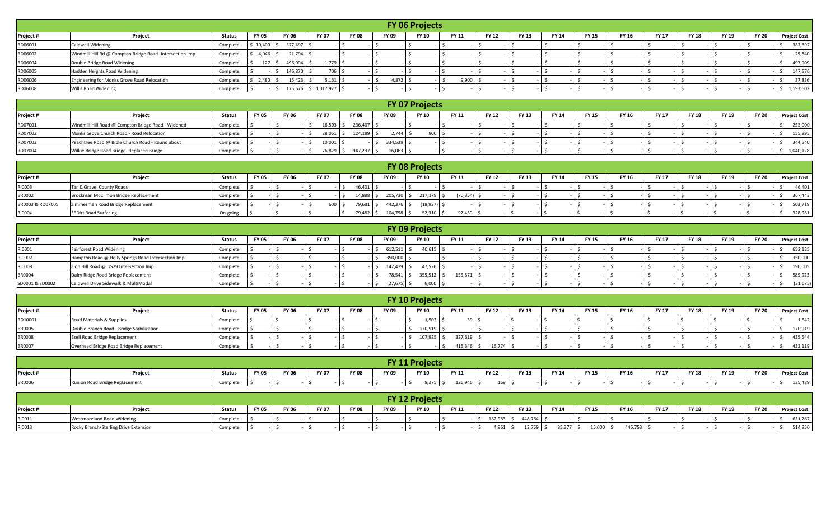|           |                                                          |          |              |              |                 |              |              | <b>FY 06 Projects</b> |              |              |              |              |              |              |              |              |              |              |                     |
|-----------|----------------------------------------------------------|----------|--------------|--------------|-----------------|--------------|--------------|-----------------------|--------------|--------------|--------------|--------------|--------------|--------------|--------------|--------------|--------------|--------------|---------------------|
| Project # | Project                                                  | Status   | <b>FY 05</b> | <b>FY 06</b> | <b>FY 07</b>    | <b>FY 08</b> | <b>FY 09</b> | <b>FY 10</b>          | <b>FY 11</b> | <b>FY 12</b> | <b>FY 13</b> | <b>FY 14</b> | <b>FY 15</b> | <b>FY 16</b> | <b>FY 17</b> | <b>FY 18</b> | <b>FY 19</b> | <b>FY 20</b> | <b>Project Cost</b> |
| RD06001   | <b>Caldwell Widening</b>                                 | Complete | 5 10,400     | 377,497      |                 |              |              |                       |              |              |              |              |              |              |              |              |              |              | 387,897             |
| RD06002   | Windmill Hill Rd @ Compton Bridge Road- Intersection Imp | Complete | 4,046        | 21,794       |                 |              |              |                       |              |              |              |              |              |              |              |              |              |              | 25,840              |
| RD06004   | Double Bridge Road Widening                              | Complete | 127          | 496,004      | $1,779$ \$      |              |              |                       |              |              |              |              |              |              |              |              |              |              | 497,909             |
| RD06005   | Hadden Heights Road Widening                             | Complete |              | 146,870      | 706 \$          |              |              |                       |              |              |              |              |              |              |              |              |              |              | 147,576             |
| RD06006   | Engineering for Monks Grove Road Relocation              | Complete | 2,480        | 15,423       | $5,161$ \$      |              | 4,872        |                       | 9,900        |              |              |              |              |              |              |              |              |              | 37,836              |
| RD06008   | <b>Willis Road Widening</b>                              | Complete |              | 175,676      | $$1,017,927$ \$ |              |              |                       |              |              |              |              |              |              |              |              |              |              | 1,193,602           |

|           |                                                    |               |              |              |              |              |              | <b>FY 07 Projects</b> |              |              |              |              |              |       |              |              |              |              |                     |
|-----------|----------------------------------------------------|---------------|--------------|--------------|--------------|--------------|--------------|-----------------------|--------------|--------------|--------------|--------------|--------------|-------|--------------|--------------|--------------|--------------|---------------------|
| Project # | Project                                            | <b>Status</b> | <b>FY 05</b> | <b>FY 06</b> | <b>FY 07</b> | <b>FY 08</b> | <b>FY 09</b> | <b>FY 10</b>          | <b>FY 11</b> | <b>FY 12</b> | <b>FY 13</b> | <b>FY 14</b> | <b>FY 15</b> | FY 16 | <b>FY 17</b> | <b>FY 18</b> | <b>FY 19</b> | <b>FY 20</b> | <b>Project Cost</b> |
| RD07001   | Windmill Hill Road @ Compton Bridge Road - Widened | Complete      |              |              | 16,593       | 236,407      |              |                       |              |              |              |              |              |       |              |              |              |              | 253,000             |
| RD07002   | Monks Grove Church Road - Road Relocation          | Complete      |              |              |              | 124,189      | 2.744        | ann I                 |              |              |              |              |              |       |              |              |              |              | 155,895             |
| RD07003   | Peachtree Road @ Bible Church Road - Round about   | Complete      |              |              | 10,001       |              | 334,539      |                       |              |              |              |              |              |       |              |              |              |              | 344,540             |
| RD07004   | Wilkie Bridge Road Bridge- Replaced Bridge         | Complete      |              |              | 76,829       | 947,237      | 16,063       |                       |              |              |              |              |              |       |              |              |              |              | 1,040,128           |

|                  |                                      |          |              |              |              |        |              |            | <b>FY 08 Projects</b> |             |              |       |              |              |       |              |              |       |              |                     |
|------------------|--------------------------------------|----------|--------------|--------------|--------------|--------|--------------|------------|-----------------------|-------------|--------------|-------|--------------|--------------|-------|--------------|--------------|-------|--------------|---------------------|
| Project #        | Project                              | Status   | <b>FY 05</b> | <b>FY 06</b> | <b>FY 07</b> |        | <b>FY 08</b> | FY 09      | <b>FY 10</b>          | FY 11       | <b>FY 12</b> | FY 13 | <b>FY 14</b> | <b>FY 15</b> | FY 16 | <b>FY 17</b> | <b>FY 18</b> | FY 19 | <b>FY 20</b> | <b>Project Cost</b> |
| RI0003           | Tar & Gravel County Roads            | Complete |              |              |              |        | 46,401       |            |                       |             |              |       |              |              |       |              |              |       |              | 46,401              |
| <b>BR0002</b>    | Brockman McClimon Bridge Replacement | Complete |              |              |              |        | 14,888       | 205,730 \$ | 217,179               | $'70,354$ ) |              |       |              |              |       |              |              |       |              | 367,443             |
| BR0003 & RD07005 | Zimmerman Road Bridge Replacement    | Complete |              |              |              | 600 \$ | 79,681       | 442,376 5  | (18,937)              |             |              |       |              |              |       |              |              |       |              | 503,719             |
| RI0004           | **Dirt Road Surfacing                | On-going |              |              |              |        | 79,482       | 104,758 \$ | 52,310                | 92,430      |              |       |              |              |       |              |              |       |              | 328,981             |

|                 |                                                    |               |              |              |              |              |              | <b>FY 09 Projects</b> |              |              |              |              |              |       |              |              |       |              |                     |
|-----------------|----------------------------------------------------|---------------|--------------|--------------|--------------|--------------|--------------|-----------------------|--------------|--------------|--------------|--------------|--------------|-------|--------------|--------------|-------|--------------|---------------------|
| Project #       | Project                                            | <b>Status</b> | <b>FY 05</b> | <b>FY 06</b> | <b>FY 07</b> | <b>FY 08</b> | <b>FY 09</b> | <b>FY 10</b>          | <b>FY 11</b> | <b>FY 12</b> | <b>FY 13</b> | <b>FY 14</b> | <b>FY 15</b> | FY 16 | <b>FY 17</b> | <b>FY 18</b> | FY 19 | <b>FY 20</b> | <b>Project Cost</b> |
| RI0001          | <b>Fairforest Road Widening</b>                    | Complete      |              |              |              |              | $612,511$  , | $40,615$ \$           |              |              |              |              |              |       |              |              |       |              | 653,125             |
| RI0002          | Hampton Road @ Holly Springs Road Intersection Imp | Complete      |              |              |              |              | 350,000      |                       |              |              |              |              |              |       |              |              |       |              | 350,000             |
| RI0008          | Zion Hill Road @ US29 Intersection Imp             | Complete      |              |              |              |              | 142,479 \$   | 47,526                |              |              |              |              |              |       |              |              |       |              | 190,005             |
| <b>BR0004</b>   | Dairy Ridge Road Bridge Replacement                | Complete      |              |              |              |              | 78,541 \$    | 355,512               | 155,871      |              |              |              |              |       |              |              |       |              | 589,923             |
| SD0001 & SD0002 | Caldwell Drive Sidewalk & MultiModal               | Complete      |              |              |              |              | (27, 675)    | 6,000                 |              |              |              |              |              |       |              |              |       |              | (21, 675)           |

|               |                                           |          |              |              |              |              |              | <b>FY 10 Projects</b> |              |              |              |                              |              |              |              |              |              |                     |
|---------------|-------------------------------------------|----------|--------------|--------------|--------------|--------------|--------------|-----------------------|--------------|--------------|--------------|------------------------------|--------------|--------------|--------------|--------------|--------------|---------------------|
| Project #     | Project                                   | Status   | <b>FY 05</b> | <b>FY 06</b> | <b>FY 07</b> | <b>FY 08</b> | <b>FY 09</b> | <b>FY 10</b>          | FY 11        | <b>FY 12</b> | <b>FY 13</b> | <b>FY 15</b><br><b>FY 14</b> | <b>FY 16</b> | <b>FY 17</b> | <b>FY 18</b> | <b>FY 19</b> | <b>FY 20</b> | <b>Project Cost</b> |
| RD10001       | Road Materials & Supplies                 | Complete |              |              |              |              |              | 1,503                 |              |              |              |                              |              |              |              |              |              | 1,542               |
| <b>BR0005</b> | Double Branch Road - Bridge Stabilization | Complete |              |              |              |              |              | 170,919               |              |              |              |                              |              |              |              |              |              | 170,919             |
| <b>BR0008</b> | Ezell Road Bridge Replacement             | Complete |              |              |              |              |              | 107,925               | 327,619      |              |              |                              |              |              |              |              |              | 435,544             |
| <b>BR0007</b> | Overhead Bridge Road Bridge Replacement   | Complete |              |              |              |              |              |                       | $115,346$ \$ | 16,774       |              |                              |              |              |              |              |              | 432,119             |

|               |                                |               |              |              |              |              |              | <b>FY 11 Projects</b> |         |                  |              |       |              |       |              |       |       |              |                     |
|---------------|--------------------------------|---------------|--------------|--------------|--------------|--------------|--------------|-----------------------|---------|------------------|--------------|-------|--------------|-------|--------------|-------|-------|--------------|---------------------|
| Project #     | Projeci                        | <b>Status</b> | <b>FY 05</b> | <b>FY 06</b> | <b>FY 07</b> | <b>FY 08</b> | <b>FY 09</b> | FY 10                 | FY 11   | <b>FY 12</b>     | <b>FY 13</b> | FY 14 | <b>FY 15</b> | FY 16 | <b>FY 17</b> | FY 18 | FY 19 | <b>FY 20</b> | <b>Project Cost</b> |
| <b>BR0006</b> | Runion Road Bridge Replacement | Complete      |              |              |              |              |              | 8,375 :               | 126,946 | $169$ $\sqrt{2}$ |              |       |              |       |              |       |       |              | 135,489             |

|           |                                       |               |              |              |              |              |       | <b>FY 12 Projects</b> |       |              |         |              |              |         |              |              |       |              |                     |
|-----------|---------------------------------------|---------------|--------------|--------------|--------------|--------------|-------|-----------------------|-------|--------------|---------|--------------|--------------|---------|--------------|--------------|-------|--------------|---------------------|
| Project # | Project                               | <b>Status</b> | <b>FY 05</b> | <b>FY 06</b> | <b>FY 07</b> | <b>FY 08</b> | FY 09 | <b>FY 10</b>          | FY 11 | <b>FY 12</b> | FY 13   | <b>FY 14</b> | <b>FY 15</b> | FY 16   | <b>FY 17</b> | <b>FY 18</b> | FY 19 | <b>FY 20</b> | <b>Project Cost</b> |
| RI0011    | <b>Westmoreland Road Widening</b>     | Complete      |              |              |              |              |       |                       |       | 182,983      | 448,784 |              |              |         |              |              |       |              | 531,767             |
| RI0013    | Rocky Branch/Sterling Drive Extension | Complete      |              |              |              |              |       |                       |       | $4,961$ \$   | 12,759  | $35,377$ \$  | 15,000       | 446,753 |              |              |       |              | 514,850             |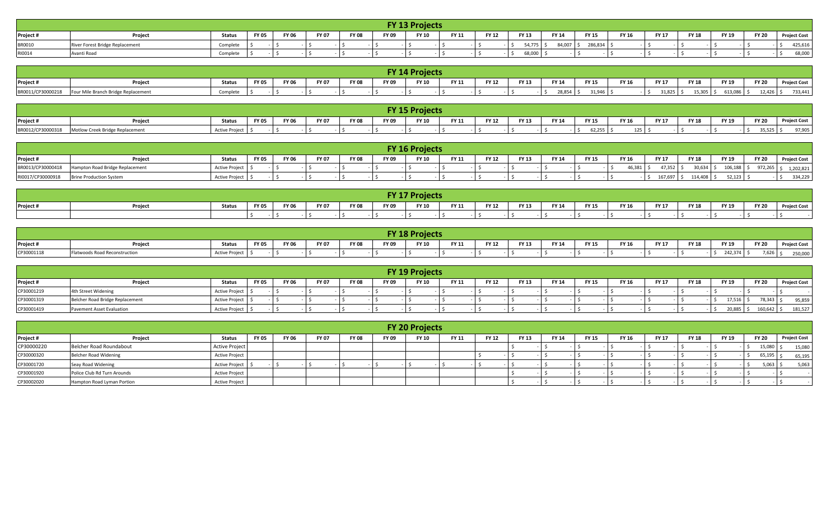|               |                                 |          |              |       |              |              |       | <b>FY 13 Projects</b> |       |              |              |        |              |       |              |              |       |              |                     |
|---------------|---------------------------------|----------|--------------|-------|--------------|--------------|-------|-----------------------|-------|--------------|--------------|--------|--------------|-------|--------------|--------------|-------|--------------|---------------------|
| Project #     | <b>Projec</b>                   | Status   | <b>FY 05</b> | FY 06 | <b>FY 07</b> | <b>FY 08</b> | FY 09 | FY 10                 | FY 11 | <b>FY 12</b> | <b>FY 13</b> | FY 14  | <b>FY 15</b> | FY 16 | <b>FY 17</b> | <b>FY 18</b> | FY 19 | <b>FY 20</b> | <b>Project Cost</b> |
| <b>BR0010</b> | River Forest Bridge Replacement | Complete |              |       |              |              |       |                       |       |              | 54,775       | 84,007 | 286,834      |       |              |              |       |              | 425,616             |
| RI0014        | Avanti Road                     | Complete |              |       |              |              |       |                       |       |              | 68,000       |        |              |       |              |              |       |              | 68,000              |

|                   |                                     |               |              |              |              |              |       | FY 14 Projects |              |              |              |           |              |       |              |              |            |              |                     |
|-------------------|-------------------------------------|---------------|--------------|--------------|--------------|--------------|-------|----------------|--------------|--------------|--------------|-----------|--------------|-------|--------------|--------------|------------|--------------|---------------------|
| Project #         | Project                             | <b>Status</b> | <b>FY 05</b> | <b>FY 06</b> | <b>FY 07</b> | <b>FY 08</b> | FY 09 | <b>FY 10</b>   | <b>FY 11</b> | <b>FY 12</b> | <b>FY 13</b> | FY 14     | <b>FY 15</b> | FY 16 | <b>FY 17</b> | <b>FY 18</b> | FY 19      | <b>FY 20</b> | <b>Project Cost</b> |
| BR0011/CP30000218 | Four Mile Branch Bridge Replacement | Complete      |              |              |              |              |       |                |              |              |              | 28,854 \$ | 21.046       |       | 1,825 \$     | 15,305       | 613,086 \$ | 12,426       | 733,441             |

|           |                                                   |                       |              |              |              |              |              | <b>FY 15 Projects</b> |              |              |       |       |              |       |              |              |              |              |                     |
|-----------|---------------------------------------------------|-----------------------|--------------|--------------|--------------|--------------|--------------|-----------------------|--------------|--------------|-------|-------|--------------|-------|--------------|--------------|--------------|--------------|---------------------|
| Project # | Projec                                            | <b>Status</b>         | <b>FY 05</b> | <b>FY 06</b> | <b>FY 07</b> | <b>FY 08</b> | <b>FY 09</b> | <b>FY 10</b>          | <b>FY 11</b> | <b>FY 12</b> | FY 13 | FY 14 | <b>FY 15</b> | FY 16 | <b>FY 17</b> | <b>FY 18</b> | <b>FY 19</b> | <b>FY 20</b> | <b>Project Cost</b> |
|           | BR0012/CP30000318 Motlow Creek Bridge Replacement | <b>Active Project</b> |              |              |              |              |              |                       |              |              |       |       | 62,255       | 125   |              |              |              | 35,525       | 97,905              |

|                   |                                 |                |              |              |              |              |              | <b>FY 16 Projects</b> |       |              |              |       |       |              |        |              |         |              |               |                     |
|-------------------|---------------------------------|----------------|--------------|--------------|--------------|--------------|--------------|-----------------------|-------|--------------|--------------|-------|-------|--------------|--------|--------------|---------|--------------|---------------|---------------------|
| Project #         | Project                         | <b>Status</b>  | <b>FY 05</b> | <b>FY 06</b> | <b>FY 07</b> | <b>FY 08</b> | <b>FY 09</b> | <b>FY 10</b>          | FY 11 | <b>FY 12</b> | <b>FY 13</b> | FY 14 | FY 15 | <b>FY 16</b> |        | <b>FY 17</b> | FY 18   | <b>FY 19</b> | <b>FY 20</b>  | <b>Project Cost</b> |
| BR0013/CP30000418 | Hampton Road Bridge Replacement | Active Project |              |              |              |              |              |                       |       |              |              |       |       |              | 46.381 | 47.352       | 30,634  | 106.188      | $972.265 \le$ | 1,202,821           |
| RI0017/CP30000918 | Brine Production System         | Active Project |              |              |              |              |              |                       |       |              |              |       |       |              |        | 167,697      | 114 408 | 52,123       |               | 334,229             |

|           |         |        |              |              |              |              |       | <b>TY 17 Projects</b> |              |              |              |              |              |              |              |              |              |              |                     |
|-----------|---------|--------|--------------|--------------|--------------|--------------|-------|-----------------------|--------------|--------------|--------------|--------------|--------------|--------------|--------------|--------------|--------------|--------------|---------------------|
| Project # | Project | Status | <b>FY 05</b> | <b>FY 06</b> | <b>FY 07</b> | <b>FY 08</b> | FY 09 | <b>FY 10</b>          | <b>FY 11</b> | <b>FY 12</b> | <b>FY 13</b> | <b>FY 14</b> | <b>FY 15</b> | <b>FY 16</b> | <b>FY 17</b> | <b>FY 18</b> | <b>FY 19</b> | <b>FY 20</b> | <b>Project Cost</b> |
|           |         |        |              |              |              |              |       |                       |              |              |              |              |              |              |              |              |              |              |                     |

|            |                               |                       |              |              |              |              |              | <b>FY 18 Projects</b> |       |              |              |              |              |              |              |              |                     |                |            |
|------------|-------------------------------|-----------------------|--------------|--------------|--------------|--------------|--------------|-----------------------|-------|--------------|--------------|--------------|--------------|--------------|--------------|--------------|---------------------|----------------|------------|
|            |                               |                       |              |              |              |              |              |                       |       |              |              |              |              |              |              |              |                     |                |            |
| Project #  | Projec.                       | <b>Status</b>         | <b>FY 05</b> | <b>FY 06</b> | <b>FY 07</b> | <b>FY 08</b> | <b>FY 09</b> | <b>FY 10</b>          | FY 11 | <b>FY 12</b> | <b>FY 13</b> | <b>FY 14</b> | <b>FY 15</b> | <b>FY 16</b> | <b>FY 17</b> | <b>FY 18</b> | <b>EV 10</b><br>כבו | <b>FY 20</b>   | วject Cost |
| CP30001118 | rlatwoods Road Reconstruction | <b>Active Project</b> |              |              |              |              |              |                       |       |              |              |              |              |              |              |              | <b>242.27</b>       | $\overline{z}$ | 250,000    |

|            |                                  |                       |              |              |              |              |       | <b>FY 19 Projects</b> |       |              |              |       |              |       |              |              |              |              |                     |
|------------|----------------------------------|-----------------------|--------------|--------------|--------------|--------------|-------|-----------------------|-------|--------------|--------------|-------|--------------|-------|--------------|--------------|--------------|--------------|---------------------|
| Project #  | Project                          | Status                | <b>FY 05</b> | <b>FY 06</b> | <b>FY 07</b> | <b>FY 08</b> | FY 09 | FY 10                 | FY 11 | <b>FY 12</b> | <b>FY 13</b> | FY 14 | <b>FY 15</b> | FY 16 | <b>FY 17</b> | <b>FY 18</b> | <b>FY 19</b> | <b>FY 20</b> | <b>Project Cost</b> |
| CP30001219 | 4th Street Widening              | Active Project        |              |              |              |              |       |                       |       |              |              |       |              |       |              |              |              |              |                     |
| CP30001319 | Belcher Road Bridge Replacement  | <b>Active Project</b> |              |              |              |              |       |                       |       |              |              |       |              |       |              |              | $17,516$ 5   | 78,343       | 95,859              |
| CP30001419 | <b>Pavement Asset Evaluation</b> | <b>Active Project</b> |              |              |              |              |       |                       |       |              |              |       |              |       |              |              | 20,885       | 160,642      | 181,527             |

|            |                             |                       |              |              |              |              |              | <b>FY 20 Projects</b> |              |              |              |              |              |       |              |              |              |              |                     |
|------------|-----------------------------|-----------------------|--------------|--------------|--------------|--------------|--------------|-----------------------|--------------|--------------|--------------|--------------|--------------|-------|--------------|--------------|--------------|--------------|---------------------|
| Project #  | Project                     | <b>Status</b>         | <b>FY 05</b> | <b>FY 06</b> | <b>FY 07</b> | <b>FY 08</b> | <b>FY 09</b> | <b>FY 10</b>          | <b>FY 11</b> | <b>FY 12</b> | <b>FY 13</b> | <b>FY 14</b> | <b>FY 15</b> | FY 16 | <b>FY 17</b> | <b>FY 18</b> | <b>FY 19</b> | <b>FY 20</b> | <b>Project Cost</b> |
| CP30000220 | Belcher Road Roundabout     | <b>Active Project</b> |              |              |              |              |              |                       |              |              |              |              |              |       |              |              |              | 15,080       | 15,080              |
| CP30000320 | Belcher Road Widening       | <b>Active Project</b> |              |              |              |              |              |                       |              |              |              |              |              |       |              |              |              | 65,195       | 65,195              |
| CP30001720 | Seay Road Widening          | Active Project \$     |              |              |              |              |              |                       |              |              |              |              |              |       |              |              |              | 5,063        | 5,063               |
| CP30001920 | Police Club Rd Turn Arounds | <b>Active Project</b> |              |              |              |              |              |                       |              |              |              |              |              |       |              |              |              |              |                     |
| CP30002020 | Hampton Road Lyman Portion  | <b>Active Project</b> |              |              |              |              |              |                       |              |              |              |              |              |       |              |              |              |              |                     |